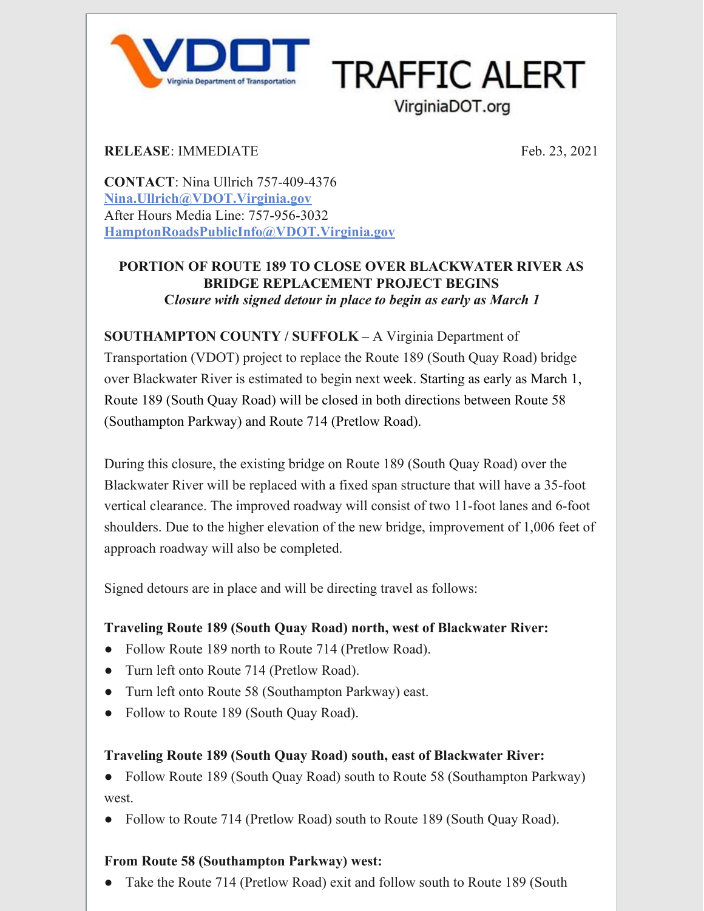

**TRAFFIC ALERT** 

VirginiaDOT.org

**RELEASE**: IMMEDIATE

Feb. 23, 2021

**CONTACT**: Nina Ullrich 757-409-4376 **[Nina.Ullrich@VDOT.Virginia.gov](mailto:kelly.alvord@VDOT.Virginia.gov)** After Hours Media Line: 757-956-3032 **[HamptonRoadsPublicInfo@VDOT.Virginia.gov](mailto:HamptonRoadsPublicInfo@VDOT.Virginia.gov)**

## **PORTION OF ROUTE 189 TO CLOSE OVER BLACKWATER RIVER AS BRIDGE REPLACEMENT PROJECT BEGINS C***losure with signed detour in place to begin as early as March 1*

**SOUTHAMPTON COUNTY / SUFFOLK** – A Virginia Department of

Transportation (VDOT) project to replace the Route 189 (South Quay Road) bridge over Blackwater River is estimated to begin next week. Starting as early as March 1, Route 189 (South Quay Road) will be closed in both directions between Route 58 (Southampton Parkway) and Route 714 (Pretlow Road).

During this closure, the existing bridge on Route 189 (South Quay Road) over the Blackwater River will be replaced with a fixed span structure that will have a 35-foot vertical clearance. The improved roadway will consist of two 11-foot lanes and 6-foot shoulders. Due to the higher elevation of the new bridge, improvement of 1,006 feet of approach roadway will also be completed.

Signed detours are in place and will be directing travel as follows:

# **Traveling Route 189 (South Quay Road) north, west of Blackwater River:**

- Follow Route 189 north to Route 714 (Pretlow Road).
- Turn left onto Route 714 (Pretlow Road).
- Turn left onto Route 58 (Southampton Parkway) east.
- Follow to Route 189 (South Quay Road).

## **Traveling Route 189 (South Quay Road) south, east of Blackwater River:**

• Follow Route 189 (South Quay Road) south to Route 58 (Southampton Parkway) west.

• Follow to Route 714 (Pretlow Road) south to Route 189 (South Quay Road).

# **From Route 58 (Southampton Parkway) west:**

• Take the Route 714 (Pretlow Road) exit and follow south to Route 189 (South